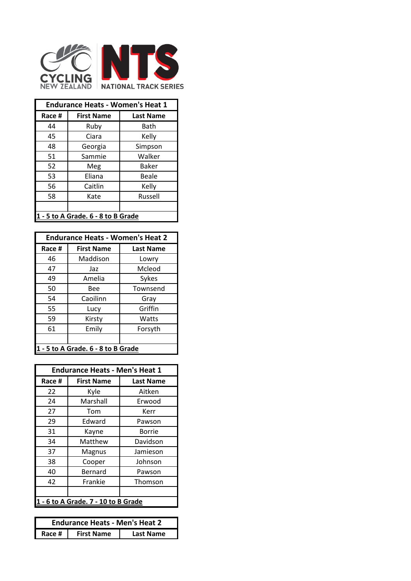

| <b>Endurance Heats - Women's Heat 1</b> |                   |                  |  |
|-----------------------------------------|-------------------|------------------|--|
| Race #                                  | <b>First Name</b> | <b>Last Name</b> |  |
| 44                                      | Ruby              | Bath             |  |
| 45                                      | Ciara             | Kelly            |  |
| 48                                      | Georgia           | Simpson          |  |
| 51                                      | Sammie            | Walker           |  |
| 52                                      | Meg               | Baker            |  |
| 53                                      | Eliana            | Beale            |  |
| 56                                      | Caitlin           | Kelly            |  |
| 58                                      | Kate              | Russell          |  |
|                                         |                   |                  |  |
| 1 - 5 to A Grade. 6 - 8 to B Grade      |                   |                  |  |

| <b>Endurance Heats - Women's Heat 2</b> |                   |                  |  |
|-----------------------------------------|-------------------|------------------|--|
| Race #                                  | <b>First Name</b> | <b>Last Name</b> |  |
| 46                                      | Maddison          | Lowry            |  |
| 47                                      | Jaz               | Mcleod           |  |
| 49                                      | Amelia            | Sykes            |  |
| 50                                      | Bee               | Townsend         |  |
| 54                                      | Caoilinn          | Gray             |  |
| 55                                      | Lucy              | Griffin          |  |
| 59                                      | Kirsty            | Watts            |  |
| 61                                      | Emily             | Forsyth          |  |
|                                         |                   |                  |  |
| 1 - 5 to A Grade. 6 - 8 to B Grade      |                   |                  |  |

| <b>Endurance Heats - Men's Heat 1</b> |                   |                  |
|---------------------------------------|-------------------|------------------|
| Race #                                | <b>First Name</b> | <b>Last Name</b> |
| 22                                    | Kyle              | Aitken           |
| 24                                    | Marshall          | Erwood           |
| 27                                    | Tom               | Kerr             |
| 29                                    | Edward            | Pawson           |
| 31                                    | Kayne             | Borrie           |
| 34                                    | Matthew           | Davidson         |
| 37                                    | Magnus            | Jamieson         |
| 38                                    | Cooper            | Johnson          |
| 40                                    | Bernard           | Pawson           |
| 42                                    | Frankie           | Thomson          |
|                                       |                   |                  |
| 1 - 6 to A Grade. 7 - 10 to B Grade   |                   |                  |

| <b>Endurance Heats - Men's Heat 2</b> |                   |                  |
|---------------------------------------|-------------------|------------------|
| Race $#$ $\parallel$                  | <b>First Name</b> | <b>Last Name</b> |
|                                       |                   |                  |